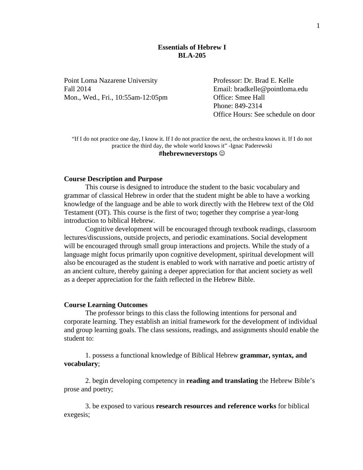### **Essentials of Hebrew I BLA-205**

Point Loma Nazarene University Professor: Dr. Brad E. Kelle Fall 2014 Email: bradkelle@pointloma.edu Mon., Wed., Fri., 10:55am-12:05pm Office: Smee Hall

Phone: 849-2314 Office Hours: See schedule on door

"If I do not practice one day, I know it. If I do not practice the next, the orchestra knows it. If I do not practice the third day, the whole world knows it" -Ignac Paderewski **#hebrewneverstops**

#### **Course Description and Purpose**

This course is designed to introduce the student to the basic vocabulary and grammar of classical Hebrew in order that the student might be able to have a working knowledge of the language and be able to work directly with the Hebrew text of the Old Testament (OT). This course is the first of two; together they comprise a year-long introduction to biblical Hebrew.

Cognitive development will be encouraged through textbook readings, classroom lectures/discussions, outside projects, and periodic examinations. Social development will be encouraged through small group interactions and projects. While the study of a language might focus primarily upon cognitive development, spiritual development will also be encouraged as the student is enabled to work with narrative and poetic artistry of an ancient culture, thereby gaining a deeper appreciation for that ancient society as well as a deeper appreciation for the faith reflected in the Hebrew Bible.

#### **Course Learning Outcomes**

The professor brings to this class the following intentions for personal and corporate learning. They establish an initial framework for the development of individual and group learning goals. The class sessions, readings, and assignments should enable the student to:

1. possess a functional knowledge of Biblical Hebrew **grammar, syntax, and vocabulary**;

2. begin developing competency in **reading and translating** the Hebrew Bible's prose and poetry;

3. be exposed to various **research resources and reference works** for biblical exegesis;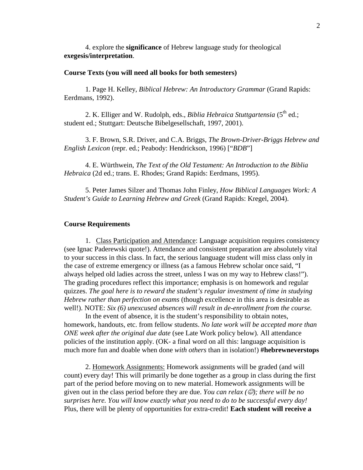4. explore the **significance** of Hebrew language study for theological **exegesis/interpretation**.

#### **Course Texts (you will need all books for both semesters)**

1. Page H. Kelley, *Biblical Hebrew: An Introductory Grammar* (Grand Rapids: Eerdmans, 1992).

2. K. Elliger and W. Rudolph, eds., *Biblia Hebraica Stuttgartensia* (5<sup>th</sup> ed.; student ed.; Stuttgart: Deutsche Bibelgesellschaft, 1997, 2001).

3. F. Brown, S.R. Driver, and C.A. Briggs, *The Brown-Driver-Briggs Hebrew and English Lexicon* (repr. ed.; Peabody: Hendrickson, 1996) ["*BDB*"]

4. E. Würthwein, *The Text of the Old Testament: An Introduction to the Biblia Hebraica* (2d ed.; trans. E. Rhodes; Grand Rapids: Eerdmans, 1995).

5. Peter James Silzer and Thomas John Finley, *How Biblical Languages Work: A Student's Guide to Learning Hebrew and Greek* (Grand Rapids: Kregel, 2004).

### **Course Requirements**

1. Class Participation and Attendance: Language acquisition requires consistency (see Ignac Paderewski quote!). Attendance and consistent preparation are absolutely vital to your success in this class. In fact, the serious language student will miss class only in the case of extreme emergency or illness (as a famous Hebrew scholar once said, "I always helped old ladies across the street, unless I was on my way to Hebrew class!"). The grading procedures reflect this importance; emphasis is on homework and regular quizzes. *The goal here is to reward the student's regular investment of time in studying Hebrew rather than perfection on exams* (though excellence in this area is desirable as well!). NOTE: *Six (6) unexcused absences will result in de-enrollment from the course.*

In the event of absence, it is the student's responsibility to obtain notes, homework, handouts, etc. from fellow students. *No late work will be accepted more than ONE week after the original due date* (see Late Work policy below)*.* All attendance policies of the institution apply. (OK- a final word on all this: language acquisition is much more fun and doable when done *with others* than in isolation!) **#hebrewneverstops**

2. Homework Assignments: Homework assignments will be graded (and will count) every day! This will primarily be done together as a group in class during the first part of the period before moving on to new material. Homework assignments will be given out in the class period before they are due. *You can relax*  $(\mathcal{O})$ *; there will be no surprises here. You will know exactly what you need to do to be successful every day!* Plus, there will be plenty of opportunities for extra-credit! **Each student will receive a**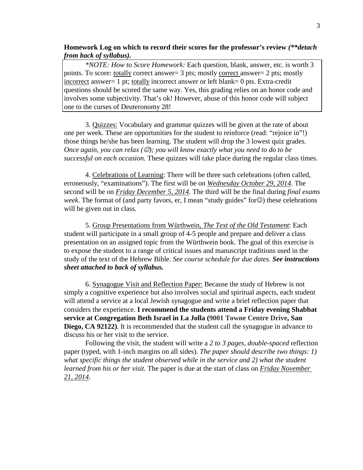### **Homework Log on which to record their scores for the professor's review** *(\*\*detach from back of syllabus).*

*\*NOTE: How to Score Homework:* Each question, blank, answer, etc. is worth 3 points. To score: totally correct answer= 3 pts; mostly correct answer= 2 pts; mostly incorrect answer= 1 pt; totally incorrect answer or left blank= 0 pts. Extra-credit questions should be scored the same way. Yes, this grading relies on an honor code and involves some subjectivity. That's ok! However, abuse of this honor code will subject one to the curses of Deuteronomy 28!

3. Quizzes: Vocabulary and grammar quizzes will be given at the rate of about one per week. These are opportunities for the student to reinforce (read: "rejoice in"!) those things he/she has been learning. The student will drop the 3 lowest quiz grades. *Once again, you can relax (); you will know exactly what you need to do to be successful on each occasion*. These quizzes will take place during the regular class times.

4. Celebrations of Learning: There will be three such celebrations (often called, erroneously, "examinations"). The first will be on *Wednesday October 29, 2014*. The second will be on *Friday December 5, 2014*. The third will be the final during *final exams week*. The format of (and party favors, er, I mean "study guides" for $\circled{c}$ ) these celebrations will be given out in class.

5. Group Presentations from Würthwein, *The Text of the Old Testament*: Each student will participate in a small group of 4-5 people and prepare and deliver a class presentation on an assigned topic from the Würthwein book. The goal of this exercise is to expose the student to a range of critical issues and manuscript traditions used in the study of the text of the Hebrew Bible. *See course schedule for due dates. See instructions sheet attached to back of syllabus.*

6. Synagogue Visit and Reflection Paper: Because the study of Hebrew is not simply a cognitive experience but also involves social and spiritual aspects, each student will attend a service at a local Jewish synagogue and write a brief reflection paper that considers the experience. **I recommend the students attend a Friday evening Shabbat service at Congregation Beth Israel in La Jolla (9001 Towne Centre Drive, San Diego, CA 92122**). It is recommended that the student call the synagogue in advance to discuss his or her visit to the service.

Following the visit, the student will write a *2 to 3 pages, double-spaced* reflection paper (typed, with 1-inch margins on all sides). *The paper should describe two things: 1) what specific things the student observed while in the service and 2) what the student learned from his or her visit.* The paper is due at the start of class on *Friday November 21, 2014*.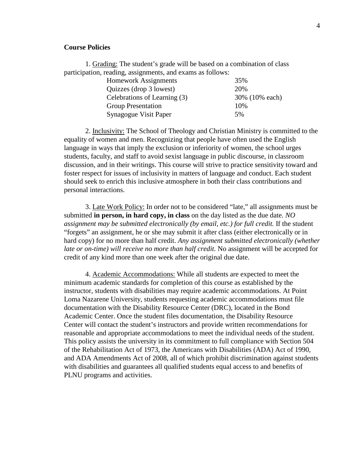### **Course Policies**

1. Grading: The student's grade will be based on a combination of class participation, reading, assignments, and exams as follows:

| <b>Homework Assignments</b>  | 35%            |
|------------------------------|----------------|
| Quizzes (drop 3 lowest)      | 20%            |
| Celebrations of Learning (3) | 30% (10% each) |
| <b>Group Presentation</b>    | 10%            |
| Synagogue Visit Paper        | 5%             |

2. Inclusivity: The School of Theology and Christian Ministry is committed to the equality of women and men. Recognizing that people have often used the English language in ways that imply the exclusion or inferiority of women, the school urges students, faculty, and staff to avoid sexist language in public discourse, in classroom discussion, and in their writings. This course will strive to practice sensitivity toward and foster respect for issues of inclusivity in matters of language and conduct. Each student should seek to enrich this inclusive atmosphere in both their class contributions and personal interactions.

3. Late Work Policy: In order not to be considered "late," all assignments must be submitted **in person, in hard copy, in class** on the day listed as the due date. *NO assignment may be submitted electronically (by email, etc.) for full credit.* If the student "forgets" an assignment, he or she may submit it after class (either electronically or in hard copy) for no more than half credit. *Any assignment submitted electronically (whether late or on-time) will receive no more than half credit.* No assignment will be accepted for credit of any kind more than one week after the original due date.

4. Academic Accommodations: While all students are expected to meet the minimum academic standards for completion of this course as established by the instructor, students with disabilities may require academic accommodations. At Point Loma Nazarene University, students requesting academic accommodations must file documentation with the Disability Resource Center (DRC), located in the Bond Academic Center. Once the student files documentation, the Disability Resource Center will contact the student's instructors and provide written recommendations for reasonable and appropriate accommodations to meet the individual needs of the student. This policy assists the university in its commitment to full compliance with Section 504 of the Rehabilitation Act of 1973, the Americans with Disabilities (ADA) Act of 1990, and ADA Amendments Act of 2008, all of which prohibit discrimination against students with disabilities and guarantees all qualified students equal access to and benefits of PLNU programs and activities.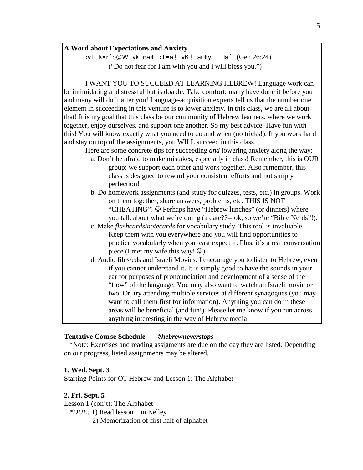#### **A Word about Expectations and Anxiety**

;yT!k=r^b@W yk!na\* ;T=a!-yK! ar\*yT!-la^ (Gen 26:24) ("Do not fear for I am with you and I will bless you.")

I WANT YOU TO SUCCEED AT LEARNING HEBREW! Language work can be intimidating and stressful but is doable. Take comfort; many have done it before you and many will do it after you! Language-acquisition experts tell us that the number one element in succeeding in this venture is to lower anxiety. In this class, we are all about that! It is my goal that this class be our community of Hebrew learners, where we work together, enjoy ourselves, and support one another. So my best advice: Have fun with this! You will know exactly what you need to do and when (no tricks!). If you work hard and stay on top of the assignments, you WILL succeed in this class.

Here are some concrete tips for succeeding *and* lowering anxiety along the way:

- a. Don't be afraid to make mistakes, especially in class! Remember, this is OUR group; we support each other and work together. Also remember, this class is designed to reward your consistent efforts and not simply perfection!
- b. Do homework assignments (and study for quizzes, tests, etc.) in groups. Work on them together, share answers, problems, etc. THIS IS NOT "CHEATING"!  $\odot$  Perhaps have "Hebrew lunches" (or dinners) where you talk about what we're doing (a date??-- ok, so we're "Bible Nerds"!).
- c. Make *flashcards/notecards* for vocabulary study. This tool is invaluable. Keep them with you everywhere and you will find opportunities to practice vocabularly when you least expect it. Plus, it's a real conversation piece (I met my wife this way!  $\circledcirc$ ).
- d. Audio files/cds and Israeli Movies: I encourage you to listen to Hebrew, even if you cannot understand it. It is simply good to have the sounds in your ear for purposes of pronounciation and development of a sense of the "flow" of the language. You may also want to watch an Israeli movie or two. Or, try attending multiple services at different synagogues (you may want to call them first for information). Anything you can do in these areas will be beneficial (and fun!). Please let me know if you run across anything interesting in the way of Hebrew media!

### **Tentative Course Schedule** *#hebrewneverstops*

 \*Note: Exercises and reading assigments are due on the day they are listed. Depending on our progress, listed assignments may be altered.

#### **1. Wed. Sept. 3**

Starting Points for OT Hebrew and Lesson 1: The Alphabet

### **2. Fri. Sept. 5**

Lesson 1 (con't): The Alphabet *\*DUE:* 1) Read lesson 1 in Kelley 2) Memorization of first half of alphabet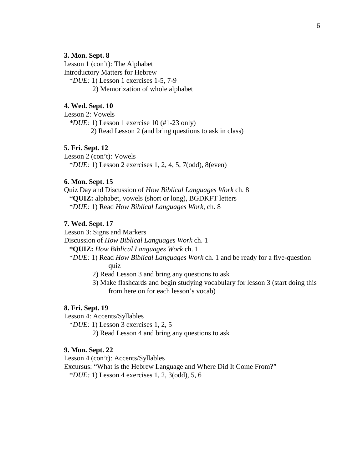#### **3. Mon. Sept. 8**

Lesson 1 (con't): The Alphabet Introductory Matters for Hebrew \**DUE:* 1) Lesson 1 exercises 1-5, 7-9 2) Memorization of whole alphabet

#### **4. Wed. Sept. 10**

Lesson 2: Vowels *\*DUE:* 1) Lesson 1 exercise 10 (#1-23 only) 2) Read Lesson 2 (and bring questions to ask in class)

## **5. Fri. Sept. 12**

Lesson 2 (con't): Vowels \**DUE:* 1) Lesson 2 exercises 1, 2, 4, 5, 7(odd), 8(even)

# **6. Mon. Sept. 15**

Quiz Day and Discussion of *How Biblical Languages Work* ch. 8 \***QUIZ:** alphabet, vowels (short or long), BGDKFT letters \**DUE:* 1) Read *How Biblical Languages Work,* ch. 8

### **7. Wed. Sept. 17**

Lesson 3: Signs and Markers

Discussion of *How Biblical Languages Work* ch. 1

**\*QUIZ:** *How Biblical Languages Work* ch. 1

 \**DUE:* 1) Read *How Biblical Languages Work* ch. 1 and be ready for a five-question quiz

2) Read Lesson 3 and bring any questions to ask

 3) Make flashcards and begin studying vocabulary for lesson 3 (start doing this from here on for each lesson's vocab)

#### **8. Fri. Sept. 19**

Lesson 4: Accents/Syllables

\**DUE:* 1) Lesson 3 exercises 1, 2, 5

2) Read Lesson 4 and bring any questions to ask

#### **9. Mon. Sept. 22**

Lesson 4 (con't): Accents/Syllables

Excursus: "What is the Hebrew Language and Where Did It Come From?"

\**DUE:* 1) Lesson 4 exercises 1, 2, 3(odd), 5, 6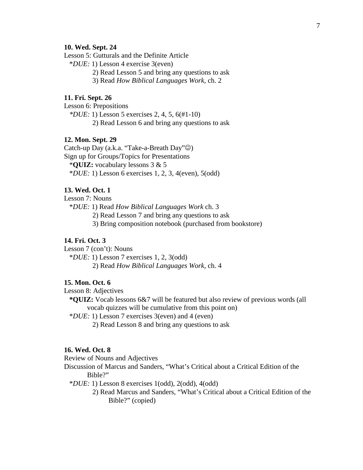#### **10. Wed. Sept. 24**

Lesson 5: Gutturals and the Definite Article

\**DUE:* 1) Lesson 4 exercise 3(even)

2) Read Lesson 5 and bring any questions to ask

3) Read *How Biblical Languages Work,* ch. 2

## **11. Fri. Sept. 26**

Lesson 6: Prepositions

*\*DUE:* 1) Lesson 5 exercises 2, 4, 5, 6(#1-10)

2) Read Lesson 6 and bring any questions to ask

#### **12. Mon. Sept. 29**

Catch-up Day (a.k.a. "Take-a-Breath Day" $\circledcirc$ ) Sign up for Groups/Topics for Presentations \***QUIZ:** vocabulary lessons 3 & 5 \**DUE:* 1) Lesson 6 exercises 1, 2, 3, 4(even), 5(odd)

### **13. Wed. Oct. 1**

Lesson 7: Nouns

\**DUE:* 1) Read *How Biblical Languages Work* ch. 3

2) Read Lesson 7 and bring any questions to ask

3) Bring composition notebook (purchased from bookstore)

#### **14. Fri. Oct. 3**

Lesson 7 (con't): Nouns

\**DUE:* 1) Lesson 7 exercises 1, 2, 3(odd)

2) Read *How Biblical Languages Work,* ch. 4

#### **15. Mon. Oct. 6**

Lesson 8: Adjectives

 **\*QUIZ:** Vocab lessons 6&7 will be featured but also review of previous words (all vocab quizzes will be cumulative from this point on)

\**DUE:* 1) Lesson 7 exercises 3(even) and 4 (even)

2) Read Lesson 8 and bring any questions to ask

### **16. Wed. Oct. 8**

Review of Nouns and Adjectives

Discussion of Marcus and Sanders, "What's Critical about a Critical Edition of the Bible?"

\**DUE:* 1) Lesson 8 exercises 1(odd), 2(odd), 4(odd)

 2) Read Marcus and Sanders, "What's Critical about a Critical Edition of the Bible?" (copied)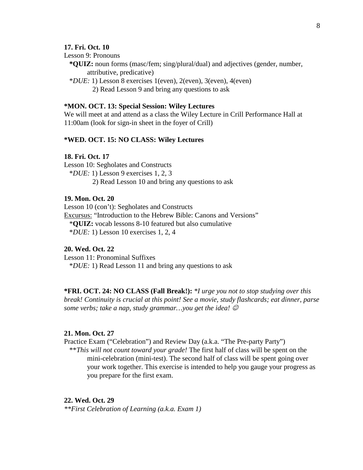### **17. Fri. Oct. 10**

Lesson 9: Pronouns

 **\*QUIZ:** noun forms (masc/fem; sing/plural/dual) and adjectives (gender, number, attributive, predicative)

 \**DUE:* 1) Lesson 8 exercises 1(even), 2(even), 3(even), 4(even) 2) Read Lesson 9 and bring any questions to ask

### **\*MON. OCT. 13: Special Session: Wiley Lectures**

We will meet at and attend as a class the Wiley Lecture in Crill Performance Hall at 11:00am (look for sign-in sheet in the foyer of Crill)

### **\*WED. OCT. 15: NO CLASS: Wiley Lectures**

### **18. Fri. Oct. 17**

Lesson 10: Segholates and Constructs \**DUE:* 1) Lesson 9 exercises 1, 2, 3 2) Read Lesson 10 and bring any questions to ask

#### **19. Mon. Oct. 20**

Lesson 10 (con't): Segholates and Constructs Excursus: "Introduction to the Hebrew Bible: Canons and Versions" \***QUIZ:** vocab lessons 8-10 featured but also cumulative \**DUE:* 1) Lesson 10 exercises 1, 2, 4

### **20. Wed. Oct. 22**

Lesson 11: Pronominal Suffixes \**DUE:* 1) Read Lesson 11 and bring any questions to ask

**\*FRI. OCT. 24: NO CLASS (Fall Break!):** *\*I urge you not to stop studying over this break! Continuity is crucial at this point! See a movie, study flashcards; eat dinner, parse some verbs; take a nap, study grammar…you get the idea!* 

#### **21. Mon. Oct. 27**

Practice Exam ("Celebration") and Review Day (a.k.a. "The Pre-party Party") \*\**This will not count toward your grade!* The first half of class will be spent on the mini-celebration (mini-test). The second half of class will be spent going over your work together. This exercise is intended to help you gauge your progress as you prepare for the first exam.

#### **22. Wed. Oct. 29**

*\*\*First Celebration of Learning (a.k.a. Exam 1)*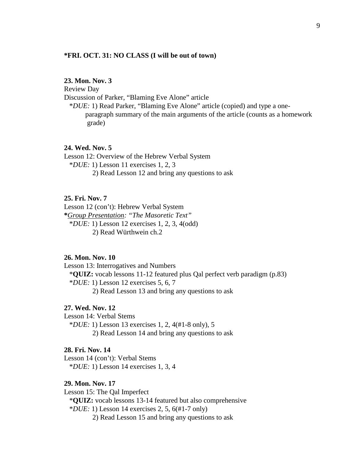### **\*FRI. OCT. 31: NO CLASS (I will be out of town)**

### **23. Mon. Nov. 3**

Review Day

Discussion of Parker, "Blaming Eve Alone" article

 \**DUE:* 1) Read Parker, "Blaming Eve Alone" article (copied) and type a oneparagraph summary of the main arguments of the article (counts as a homework grade)

#### **24. Wed. Nov. 5**

Lesson 12: Overview of the Hebrew Verbal System \**DUE:* 1) Lesson 11 exercises 1, 2, 3 2) Read Lesson 12 and bring any questions to ask

#### **25. Fri. Nov. 7**

Lesson 12 (con't): Hebrew Verbal System **\****Group Presentation: "The Masoretic Text"* \**DUE:* 1) Lesson 12 exercises 1, 2, 3, 4(odd) 2) Read Würthwein ch.2

#### **26. Mon. Nov. 10**

Lesson 13: Interrogatives and Numbers \***QUIZ:** vocab lessons 11-12 featured plus Qal perfect verb paradigm (p.83) \**DUE:* 1) Lesson 12 exercises 5, 6, 7

2) Read Lesson 13 and bring any questions to ask

### **27. Wed. Nov. 12**

Lesson 14: Verbal Stems

\**DUE:* 1) Lesson 13 exercises 1, 2, 4(#1-8 only), 5

2) Read Lesson 14 and bring any questions to ask

# **28. Fri. Nov. 14**

Lesson 14 (con't): Verbal Stems \**DUE:* 1) Lesson 14 exercises 1, 3, 4

### **29. Mon. Nov. 17**

Lesson 15: The Qal Imperfect \***QUIZ:** vocab lessons 13-14 featured but also comprehensive \**DUE:* 1) Lesson 14 exercises 2, 5, 6(#1-7 only) 2) Read Lesson 15 and bring any questions to ask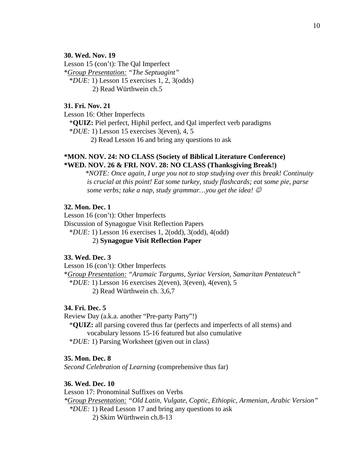#### **30. Wed. Nov. 19**

Lesson 15 (con't): The Qal Imperfect \**Group Presentation: "The Septuagint"* \**DUE:* 1) Lesson 15 exercises 1, 2, 3(odds) 2) Read Würthwein ch.5

# **31. Fri. Nov. 21**

Lesson 16: Other Imperfects

 \***QUIZ:** Piel perfect, Hiphil perfect, and Qal imperfect verb paradigms \**DUE:* 1) Lesson 15 exercises 3(even), 4, 5

2) Read Lesson 16 and bring any questions to ask

### **\*MON. NOV. 24: NO CLASS (Society of Biblical Literature Conference) \*WED. NOV. 26 & FRI. NOV. 28: NO CLASS (Thanksgiving Break!)**

*\*NOTE: Once again, I urge you not to stop studying over this break! Continuity is crucial at this point! Eat some turkey, study flashcards; eat some pie, parse some verbs; take a nap, study grammar…you get the idea!* 

# **32. Mon. Dec. 1**

Lesson 16 (con't): Other Imperfects Discussion of Synagogue Visit Reflection Papers \**DUE:* 1) Lesson 16 exercises 1, 2(odd), 3(odd), 4(odd)

# 2) **Synagogue Visit Reflection Paper**

### **33. Wed. Dec. 3**

Lesson 16 (con't): Other Imperfects \**Group Presentation: "Aramaic Targums, Syriac Version, Samaritan Pentateuch"* \**DUE:* 1) Lesson 16 exercises 2(even), 3(even), 4(even), 5 2) Read Würthwein ch. 3,6,7

#### **34. Fri. Dec. 5**

Review Day (a.k.a. another "Pre-party Party"!)

 \***QUIZ:** all parsing covered thus far (perfects and imperfects of all stems) and vocabulary lessons 15-16 featured but also cumulative

\**DUE:* 1) Parsing Worksheet (given out in class)

#### **35. Mon. Dec. 8**

*Second Celebration of Learning* (comprehensive thus far)

#### **36. Wed. Dec. 10**

Lesson 17: Pronominal Suffixes on Verbs

*\*Group Presentation: "Old Latin, Vulgate, Coptic, Ethiopic, Armenian, Arabic Version" \*DUE:* 1) Read Lesson 17 and bring any questions to ask

2) Skim Würthwein ch.8-13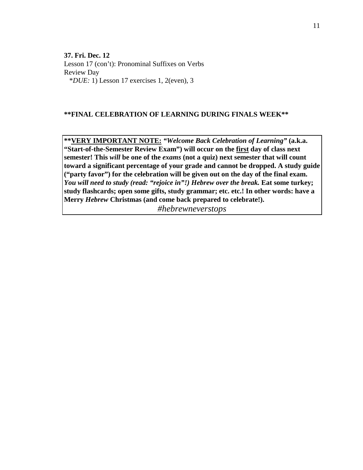**37. Fri. Dec. 12** Lesson 17 (con't): Pronominal Suffixes on Verbs Review Day \**DUE:* 1) Lesson 17 exercises 1, 2(even), 3

### **\*\*FINAL CELEBRATION OF LEARNING DURING FINALS WEEK\*\***

**\*\*VERY IMPORTANT NOTE:** *"Welcome Back Celebration of Learning"* **(a.k.a. "Start-of-the-Semester Review Exam") will occur on the first day of class next semester! This** *will* **be one of the** *exams* **(not a quiz) next semester that will count toward a significant percentage of your grade and cannot be dropped. A study guide ("party favor") for the celebration will be given out on the day of the final exam.**  *You will need to study (read: "rejoice in"!) Hebrew over the break. Eat some turkey;* **study flashcards; open some gifts, study grammar; etc. etc.! In other words: have a Merry** *Hebrew* **Christmas (and come back prepared to celebrate!).**

*#hebrewneverstops*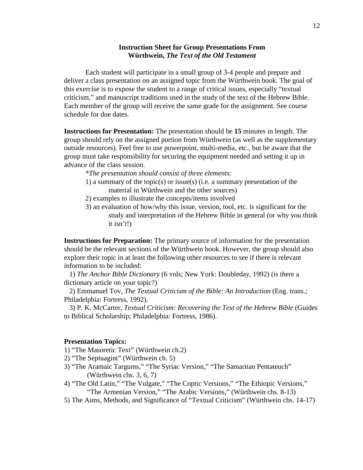### **Instruction Sheet for Group Presentations From Würthwein,** *The Text of the Old Testament*

Each student will participate in a small group of 3-4 people and prepare and deliver a class presentation on an assigned topic from the Würthwein book. The goal of this exercise is to expose the student to a range of critical issues, especially "textual criticism," and manuscript traditions used in the study of the text of the Hebrew Bible. Each member of the group will receive the same grade for the assignment. See course schedule for due dates.

**Instructions for Presentation:** The presentation should be **15** minutes in length. The group should rely on the assigned portion from Würthwein (as well as the supplementary outside resources). Feel free to use powerpoint, multi-media, etc., but be aware that the group must take responsibility for securing the equipment needed and setting it up in advance of the class session.

- *\*The presentation should consist of three elements:*
- 1) a summary of the topic(s) or issue(s) (i.e. a summary presentation of the material in Würthwein and the other sources)
- 2) examples to illustrate the concepts/items involved
- 3) an evaluation of how/why this issue, version, tool, etc. is significant for the study and interpretation of the Hebrew Bible in general (or why you think it isn't!)

**Instructions for Preparation:** The primary source of information for the presentation should be the relevant sections of the Würthwein book. However, the group should also explore their topic in at least the following other resources to see if there is relevant information to be included:

 1) *The Anchor Bible Dictionary* (6 vols; New York: Doubleday, 1992) (is there a dictionary article on your topic?)

 2) Emmanuel Tov, *The Textual Criticism of the Bible: An Introduction* (Eng. trans.; Philadelphia: Fortress, 1992).

 3) P. K. McCarter, *Textual Criticism: Recovering the Text of the Hebrew Bible* (Guides to Biblical Scholarship; Philadelphia: Fortress, 1986).

#### **Presentation Topics:**

- 1) "The Masoretic Text" (Würthwein ch.2)
- 2) "The Septuagint" (Würthwein ch. 5)
- 3) "The Aramaic Targums," "The Syriac Version," "The Samaritan Pentateuch" (Würthwein chs. 3, 6, 7)
- 4) "The Old Latin," "The Vulgate," "The Coptic Versions," "The Ethiopic Versions," "The Armenian Version," "The Arabic Versions," (Würthwein chs. 8-13)
- 5) The Aims, Methods, and Significance of "Textual Criticism" (Würthwein chs. 14-17)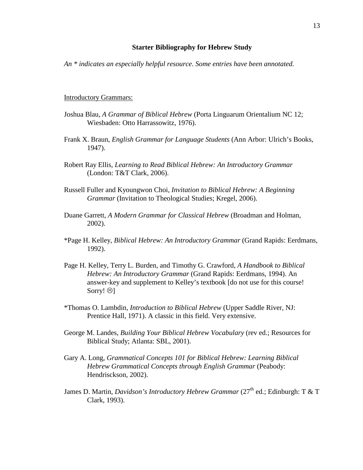#### **Starter Bibliography for Hebrew Study**

*An \* indicates an especially helpful resource*. *Some entries have been annotated.*

#### Introductory Grammars:

- Joshua Blau, *A Grammar of Biblical Hebrew* (Porta Linguarum Orientalium NC 12; Wiesbaden: Otto Harrassowitz, 1976).
- Frank X. Braun, *English Grammar for Language Students* (Ann Arbor: Ulrich's Books, 1947).
- Robert Ray Ellis, *Learning to Read Biblical Hebrew: An Introductory Grammar* (London: T&T Clark, 2006).
- Russell Fuller and Kyoungwon Choi, *Invitation to Biblical Hebrew: A Beginning Grammar* (Invitation to Theological Studies; Kregel, 2006).
- Duane Garrett, *A Modern Grammar for Classical Hebrew* (Broadman and Holman, 2002).
- \*Page H. Kelley, *Biblical Hebrew: An Introductory Grammar* (Grand Rapids: Eerdmans, 1992).
- Page H. Kelley, Terry L. Burden, and Timothy G. Crawford, *A Handbook to Biblical Hebrew: An Introductory Grammar* (Grand Rapids: Eerdmans, 1994). An answer-key and supplement to Kelley's textbook [do not use for this course! Sorry!  $\otimes$ ]
- \*Thomas O. Lambdin, *Introduction to Biblical Hebrew* (Upper Saddle River, NJ: Prentice Hall, 1971). A classic in this field. Very extensive.
- George M. Landes, *Building Your Biblical Hebrew Vocabulary* (rev ed.; Resources for Biblical Study; Atlanta: SBL, 2001).
- Gary A. Long, *Grammatical Concepts 101 for Biblical Hebrew: Learning Biblical Hebrew Grammatical Concepts through English Grammar* (Peabody: Hendrisckson, 2002).
- James D. Martin, *Davidson's Introductory Hebrew Grammar* (27<sup>th</sup> ed.; Edinburgh: T & T Clark, 1993).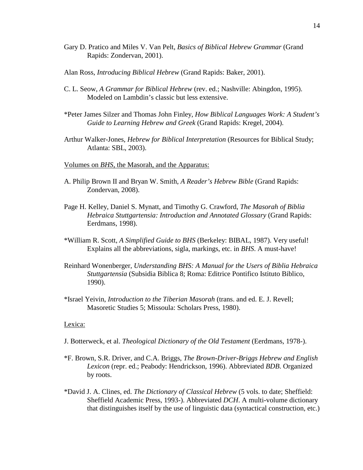- Gary D. Pratico and Miles V. Van Pelt, *Basics of Biblical Hebrew Grammar* (Grand Rapids: Zondervan, 2001).
- Alan Ross, *Introducing Biblical Hebrew* (Grand Rapids: Baker, 2001).
- C. L. Seow, *A Grammar for Biblical Hebrew* (rev. ed.; Nashville: Abingdon, 1995). Modeled on Lambdin's classic but less extensive.
- \*Peter James Silzer and Thomas John Finley, *How Biblical Languages Work: A Student's Guide to Learning Hebrew and Greek* (Grand Rapids: Kregel, 2004).
- Arthur Walker-Jones, *Hebrew for Biblical Interpretation* (Resources for Biblical Study; Atlanta: SBL, 2003).
- Volumes on *BHS*, the Masorah, and the Apparatus:
- A. Philip Brown II and Bryan W. Smith, *A Reader's Hebrew Bible* (Grand Rapids: Zondervan, 2008).
- Page H. Kelley, Daniel S. Mynatt, and Timothy G. Crawford, *The Masorah of Biblia Hebraica Stuttgartensia: Introduction and Annotated Glossary* (Grand Rapids: Eerdmans, 1998).
- \*William R. Scott, *A Simplified Guide to BHS* (Berkeley: BIBAL, 1987). Very useful! Explains all the abbreviations, sigla, markings, etc. in *BHS*. A must-have!
- Reinhard Wonenberger, *Understanding BHS: A Manual for the Users of Biblia Hebraica Stuttgartensia* (Subsidia Biblica 8; Roma: Editrice Pontifico Istituto Biblico, 1990).
- \*Israel Yeivin, *Introduction to the Tiberian Masorah* (trans. and ed. E. J. Revell; Masoretic Studies 5; Missoula: Scholars Press, 1980).

#### Lexica:

- J. Botterweck, et al. *Theological Dictionary of the Old Testament* (Eerdmans, 1978-).
- \*F. Brown, S.R. Driver, and C.A. Briggs, *The Brown-Driver-Briggs Hebrew and English Lexicon* (repr. ed.; Peabody: Hendrickson, 1996). Abbreviated *BDB*. Organized by roots.
- \*David J. A. Clines, ed. *The Dictionary of Classical Hebrew* (5 vols. to date; Sheffield: Sheffield Academic Press, 1993-). Abbreviated *DCH*. A multi-volume dictionary that distinguishes itself by the use of linguistic data (syntactical construction, etc.)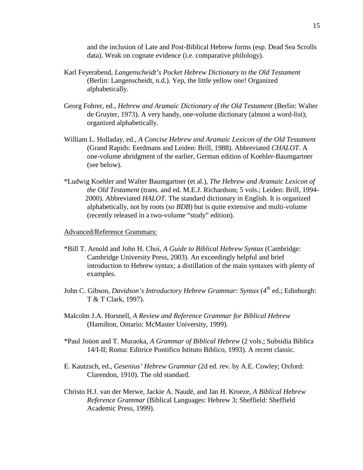and the inclusion of Late and Post-Biblical Hebrew forms (esp. Dead Sea Scrolls data). Weak on cognate evidence (i.e. comparative philology).

- Karl Feyerabend, *Langenscheidt's Pocket Hebrew Dictionary to the Old Testament* (Berlin: Langenscheidt, n.d.). Yep, the little yellow one! Organized alphabetically.
- Georg Fohrer, ed., *Hebrew and Aramaic Dictionary of the Old Testament* (Berlin: Walter de Gruyter, 1973). A very handy, one-volume dictionary (almost a word-list); organized alphabetically.
- William L. Holladay, ed., *A Concise Hebrew and Aramaic Lexicon of the Old Testament* (Grand Rapids: Eerdmans and Leiden: Brill, 1988). Abbreviated *CHALOT*. A one-volume abridgment of the earlier, German edition of Koehler-Baumgartner (see below).
- \*Ludwig Koehler and Walter Baumgartner (et al.), *The Hebrew and Aramaic Lexicon of the Old Testament* (trans. and ed. M.E.J. Richardson; 5 vols.; Leiden: Brill, 1994- 2000). Abbreviated *HALOT*. The standard dictionary in English. It is organized alphabetically, not by roots (so *BDB*) but is quite extensive and multi-volume (recently released in a two-volume "study" edition).

### Advanced/Reference Grammars:

- \*Bill T. Arnold and John H. Choi, *A Guide to Biblical Hebrew Syntax* (Cambridge: Cambridge University Press, 2003). An exceedingly helpful and brief introduction to Hebrew syntax; a distillation of the main syntaxes with plenty of examples.
- John C. Gibson, *Davidson's Introductory Hebrew Grammar: Syntax* (4<sup>th</sup> ed.; Edinburgh: T & T Clark, 1997).
- Malcolm J.A. Horsnell, *A Review and Reference Grammar for Biblical Hebrew* (Hamilton, Ontario: McMaster University, 1999).
- \*Paul Joüon and T. Muraoka, *A Grammar of Biblical Hebrew* (2 vols.; Subsidia Biblica 14/I-II; Roma: Editrice Pontifico Istituto Biblico, 1993). A recent classic.
- E. Kautzsch, ed., *Gesenius' Hebrew Grammar* (2d ed. rev. by A.E. Cowley; Oxford: Clarendon, 1910). The old standard.
- Christo H.J. van der Merwe, Jackie A. Naudé, and Jan H. Kroeze, *A Biblical Hebrew Reference Grammar* (Biblical Languages: Hebrew 3; Sheffield: Sheffield Academic Press, 1999).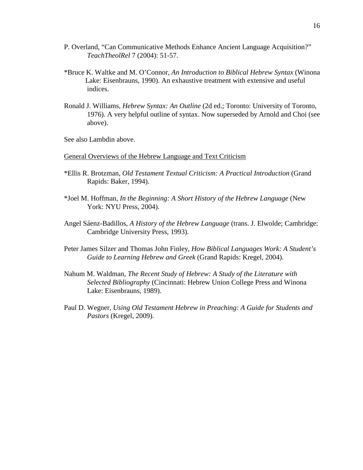- P. Overland, "Can Communicative Methods Enhance Ancient Language Acquisition?" *TeachTheolRel* 7 (2004): 51-57.
- \*Bruce K. Waltke and M. O'Connor, *An Introduction to Biblical Hebrew Syntax* (Winona Lake: Eisenbrauns, 1990). An exhaustive treatment with extensive and useful indices.
- Ronald J. Williams, *Hebrew Syntax: An Outline* (2d ed.; Toronto: University of Toronto, 1976). A very helpful outline of syntax. Now superseded by Arnold and Choi (see above).

See also Lambdin above.

#### General Overviews of the Hebrew Language and Text Criticism

- \*Ellis R. Brotzman, *Old Testament Textual Criticism: A Practical Introduction* (Grand Rapids: Baker, 1994).
- \*Joel M. Hoffman, *In the Beginning: A Short History of the Hebrew Language* (New York: NYU Press, 2004).
- Angel Sáenz-Badillos, *A History of the Hebrew Language* (trans. J. Elwolde; Cambridge: Cambridge University Press, 1993).
- Peter James Silzer and Thomas John Finley, *How Biblical Languages Work: A Student's Guide to Learning Hebrew and Greek* (Grand Rapids: Kregel, 2004).
- Nahum M. Waldman, *The Recent Study of Hebrew: A Study of the Literature with Selected Bibliography* (Cincinnati: Hebrew Union College Press and Winona Lake: Eisenbrauns, 1989).
- Paul D. Wegner, *Using Old Testament Hebrew in Preaching: A Guide for Students and Pastors* (Kregel, 2009).